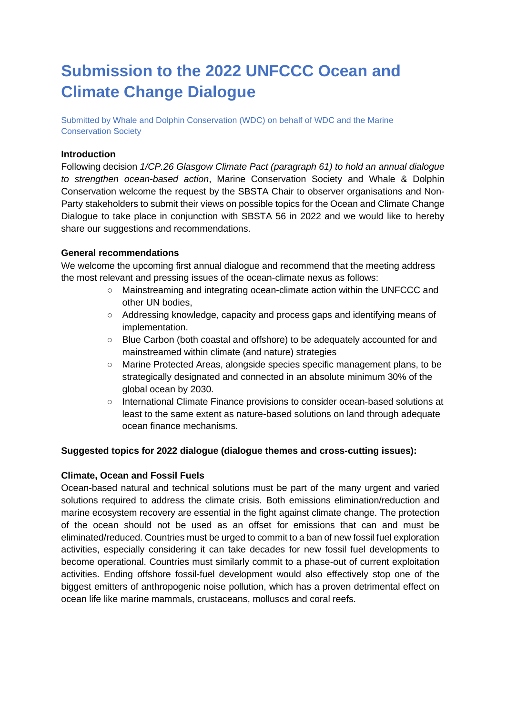# **Submission to the 2022 UNFCCC Ocean and Climate Change Dialogue**

Submitted by Whale and Dolphin Conservation (WDC) on behalf of WDC and the Marine Conservation Society

## **Introduction**

Following decision *1/CP.26 Glasgow Climate Pact (paragraph 61) to hold an annual dialogue to strengthen ocean-based action*, Marine Conservation Society and Whale & Dolphin Conservation welcome the request by the SBSTA Chair to observer organisations and Non-Party stakeholders to submit their views on possible topics for the Ocean and Climate Change Dialogue to take place in conjunction with SBSTA 56 in 2022 and we would like to hereby share our suggestions and recommendations.

### **General recommendations**

We welcome the upcoming first annual dialogue and recommend that the meeting address the most relevant and pressing issues of the ocean-climate nexus as follows:

- Mainstreaming and integrating ocean-climate action within the UNFCCC and other UN bodies,
- Addressing knowledge, capacity and process gaps and identifying means of implementation.
- Blue Carbon (both coastal and offshore) to be adequately accounted for and mainstreamed within climate (and nature) strategies
- Marine Protected Areas, alongside species specific management plans, to be strategically designated and connected in an absolute minimum 30% of the global ocean by 2030.
- International Climate Finance provisions to consider ocean-based solutions at least to the same extent as nature-based solutions on land through adequate ocean finance mechanisms.

# **Suggested topics for 2022 dialogue (dialogue themes and cross-cutting issues):**

#### **Climate, Ocean and Fossil Fuels**

Ocean-based natural and technical solutions must be part of the many urgent and varied solutions required to address the climate crisis*.* Both emissions elimination/reduction and marine ecosystem recovery are essential in the fight against climate change. The protection of the ocean should not be used as an offset for emissions that can and must be eliminated/reduced. Countries must be urged to commit to a ban of new fossil fuel exploration activities, especially considering it can take decades for new fossil fuel developments to become operational. Countries must similarly commit to a phase-out of current exploitation activities. Ending offshore fossil-fuel development would also effectively stop one of the biggest emitters of anthropogenic noise pollution, which has a proven detrimental effect on ocean life like marine mammals, crustaceans, molluscs and coral reefs.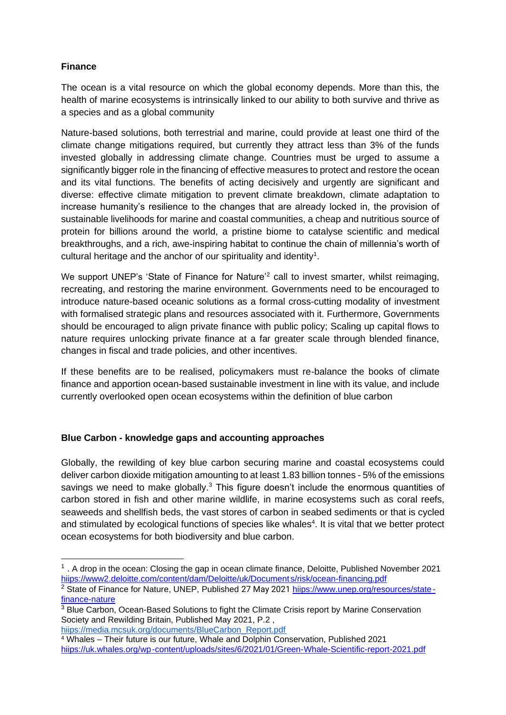# **Finance**

The ocean is a vital resource on which the global economy depends. More than this, the health of marine ecosystems is intrinsically linked to our ability to both survive and thrive as a species and as a global community

Nature-based solutions, both terrestrial and marine, could provide at least one third of the climate change mitigations required, but currently they attract less than 3% of the funds invested globally in addressing climate change. Countries must be urged to assume a significantly bigger role in the financing of effective measures to protect and restore the ocean and its vital functions. The benefits of acting decisively and urgently are significant and diverse: effective climate mitigation to prevent climate breakdown, climate adaptation to increase humanity's resilience to the changes that are already locked in, the provision of sustainable livelihoods for marine and coastal communities, a cheap and nutritious source of protein for billions around the world, a pristine biome to catalyse scientific and medical breakthroughs, and a rich, awe-inspiring habitat to continue the chain of millennia's worth of cultural heritage and the anchor of our spirituality and identity<sup>1</sup>.

We support UNEP's 'State of Finance for Nature<sup>'2</sup> call to invest smarter, whilst reimaging, recreating, and restoring the marine environment. Governments need to be encouraged to introduce nature-based oceanic solutions as a formal cross-cutting modality of investment with formalised strategic plans and resources associated with it. Furthermore, Governments should be encouraged to align private finance with public policy; Scaling up capital flows to nature requires unlocking private finance at a far greater scale through blended finance, changes in fiscal and trade policies, and other incentives.

If these benefits are to be realised, policymakers must re-balance the books of climate finance and apportion ocean-based sustainable investment in line with its value, and include currently overlooked open ocean ecosystems within the definition of blue carbon

# **Blue Carbon - knowledge gaps and accounting approaches**

Globally, the rewilding of key blue carbon securing marine and coastal ecosystems could deliver carbon dioxide mitigation amounting to at least 1.83 billion tonnes - 5% of the emissions savings we need to make globally.<sup>3</sup> This figure doesn't include the enormous quantities of carbon stored in fish and other marine wildlife, in marine ecosystems such as coral reefs, seaweeds and shellfish beds, the vast stores of carbon in seabed sediments or that is cycled and stimulated by ecological functions of species like whales<sup>4</sup>. It is vital that we better protect ocean ecosystems for both biodiversity and blue carbon.

<sup>&</sup>lt;sup>1</sup>. A drop in the ocean: Closing the gap in ocean climate finance, Deloitte, Published November 2021 hiips://www2.deloitte.com/content/dam/Deloitte/uk/Document s/risk/ocean-financing.pdf

<sup>&</sup>lt;sup>2</sup> State of Finance for Nature, UNEP, Published 27 May 2021 hiips://www.unep.org/resources/statefinance-nature

<sup>&</sup>lt;sup>3</sup> Blue Carbon, Ocean-Based Solutions to fight the Climate Crisis report by Marine Conservation Society and Rewilding Britain, Published May 2021, P.2 ,

hiips://media.mcsuk.org/documents/BlueCarbon\_Report.pdf

<sup>4</sup> Whales – Their future is our future, Whale and Dolphin Conservation, Published 2021 hiips://uk.whales.org/wp-content/uploads/sites/6/2021/01/Green-Whale-Scientific-report-2021.pdf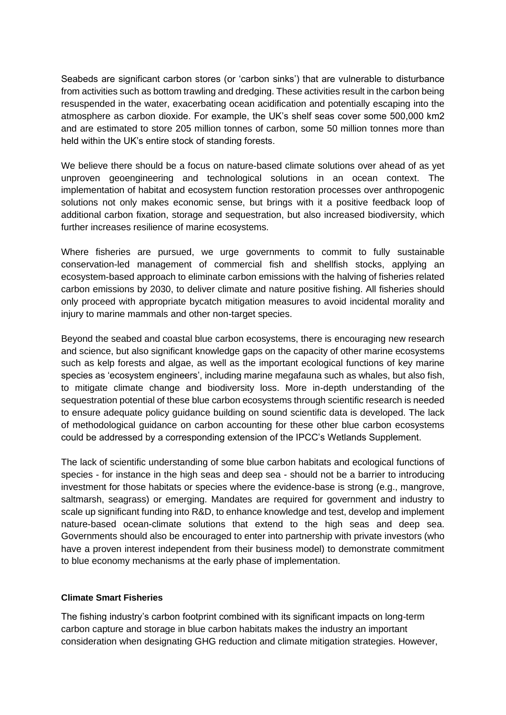Seabeds are significant carbon stores (or 'carbon sinks') that are vulnerable to disturbance from activities such as bottom trawling and dredging. These activities result in the carbon being resuspended in the water, exacerbating ocean acidification and potentially escaping into the atmosphere as carbon dioxide. For example, the UK's shelf seas cover some 500,000 km2 and are estimated to store 205 million tonnes of carbon, some 50 million tonnes more than held within the UK's entire stock of standing forests.

We believe there should be a focus on nature-based climate solutions over ahead of as yet unproven geoengineering and technological solutions in an ocean context. The implementation of habitat and ecosystem function restoration processes over anthropogenic solutions not only makes economic sense, but brings with it a positive feedback loop of additional carbon fixation, storage and sequestration, but also increased biodiversity, which further increases resilience of marine ecosystems.

Where fisheries are pursued, we urge governments to commit to fully sustainable conservation-led management of commercial fish and shellfish stocks, applying an ecosystem-based approach to eliminate carbon emissions with the halving of fisheries related carbon emissions by 2030, to deliver climate and nature positive fishing. All fisheries should only proceed with appropriate bycatch mitigation measures to avoid incidental morality and injury to marine mammals and other non-target species.

Beyond the seabed and coastal blue carbon ecosystems, there is encouraging new research and science, but also significant knowledge gaps on the capacity of other marine ecosystems such as kelp forests and algae, as well as the important ecological functions of key marine species as 'ecosystem engineers', including marine megafauna such as whales, but also fish, to mitigate climate change and biodiversity loss. More in-depth understanding of the sequestration potential of these blue carbon ecosystems through scientific research is needed to ensure adequate policy guidance building on sound scientific data is developed. The lack of methodological guidance on carbon accounting for these other blue carbon ecosystems could be addressed by a corresponding extension of the IPCC's Wetlands Supplement.

The lack of scientific understanding of some blue carbon habitats and ecological functions of species - for instance in the high seas and deep sea - should not be a barrier to introducing investment for those habitats or species where the evidence-base is strong (e.g., mangrove, saltmarsh, seagrass) or emerging. Mandates are required for government and industry to scale up significant funding into R&D, to enhance knowledge and test, develop and implement nature-based ocean-climate solutions that extend to the high seas and deep sea. Governments should also be encouraged to enter into partnership with private investors (who have a proven interest independent from their business model) to demonstrate commitment to blue economy mechanisms at the early phase of implementation.

# **Climate Smart Fisheries**

The fishing industry's carbon footprint combined with its significant impacts on long-term carbon capture and storage in blue carbon habitats makes the industry an important consideration when designating GHG reduction and climate mitigation strategies. However,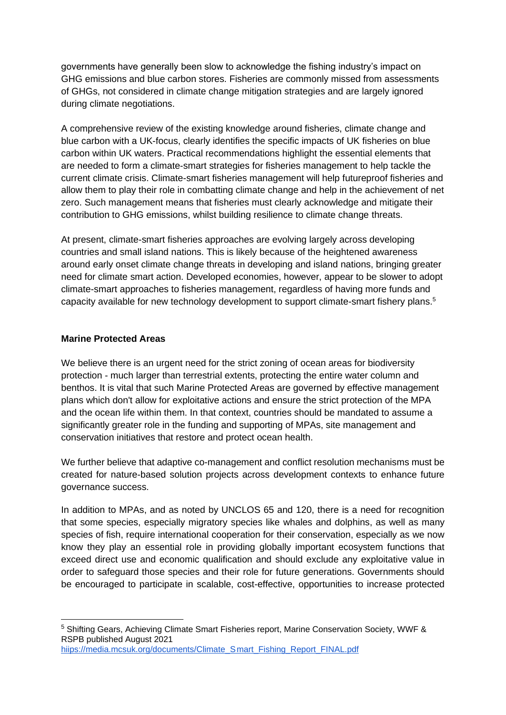governments have generally been slow to acknowledge the fishing industry's impact on GHG emissions and blue carbon stores. Fisheries are commonly missed from assessments of GHGs, not considered in climate change mitigation strategies and are largely ignored during climate negotiations.

A comprehensive review of the existing knowledge around fisheries, climate change and blue carbon with a UK-focus, clearly identifies the specific impacts of UK fisheries on blue carbon within UK waters. Practical recommendations highlight the essential elements that are needed to form a climate-smart strategies for fisheries management to help tackle the current climate crisis. Climate-smart fisheries management will help futureproof fisheries and allow them to play their role in combatting climate change and help in the achievement of net zero. Such management means that fisheries must clearly acknowledge and mitigate their contribution to GHG emissions, whilst building resilience to climate change threats.

At present, climate-smart fisheries approaches are evolving largely across developing countries and small island nations. This is likely because of the heightened awareness around early onset climate change threats in developing and island nations, bringing greater need for climate smart action. Developed economies, however, appear to be slower to adopt climate-smart approaches to fisheries management, regardless of having more funds and capacity available for new technology development to support climate-smart fishery plans.<sup>5</sup>

# **Marine Protected Areas**

We believe there is an urgent need for the strict zoning of ocean areas for biodiversity protection - much larger than terrestrial extents, protecting the entire water column and benthos. It is vital that such Marine Protected Areas are governed by effective management plans which don't allow for exploitative actions and ensure the strict protection of the MPA and the ocean life within them. In that context, countries should be mandated to assume a significantly greater role in the funding and supporting of MPAs, site management and conservation initiatives that restore and protect ocean health.

We further believe that adaptive co-management and conflict resolution mechanisms must be created for nature-based solution projects across development contexts to enhance future governance success.

In addition to MPAs, and as noted by UNCLOS 65 and 120, there is a need for recognition that some species, especially migratory species like whales and dolphins, as well as many species of fish, require international cooperation for their conservation, especially as we now know they play an essential role in providing globally important ecosystem functions that exceed direct use and economic qualification and should exclude any exploitative value in order to safeguard those species and their role for future generations. Governments should be encouraged to participate in scalable, cost-effective, opportunities to increase protected

<sup>5</sup> Shifting Gears, Achieving Climate Smart Fisheries report, Marine Conservation Society, WWF & RSPB published August 2021 hiips://media.mcsuk.org/documents/Climate\_Smart\_Fishing\_Report\_FINAL.pdf